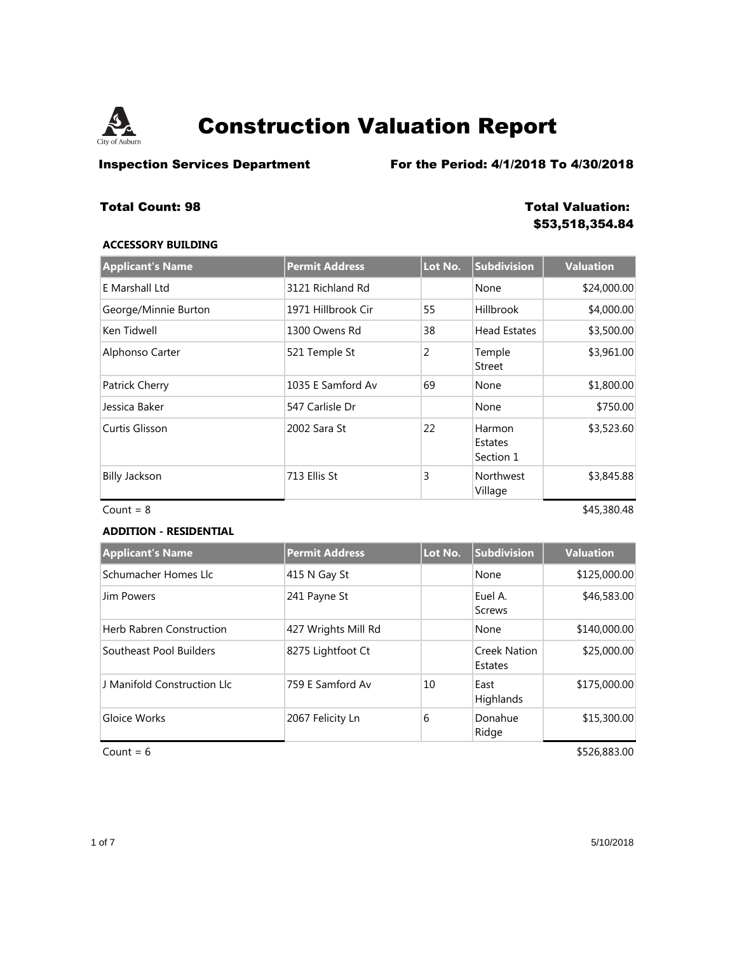

**Inspection Services Department** For the Period: 4/1/2018 To 4/30/2018

## **Total Count: 98 Total Valuation:**

# **\$53,518,354.84**

### **ACCESSORY BUILDING**

| <b>Applicant's Name</b> | <b>Permit Address</b> | Lot No. | <b>Subdivision</b>             | <b>Valuation</b> |
|-------------------------|-----------------------|---------|--------------------------------|------------------|
| E Marshall Ltd          | 3121 Richland Rd      |         | None                           | \$24,000.00      |
| George/Minnie Burton    | 1971 Hillbrook Cir    | 55      | <b>Hillbrook</b>               | \$4,000.00       |
| Ken Tidwell             | 1300 Owens Rd         | 38      | <b>Head Estates</b>            | \$3,500.00       |
| Alphonso Carter         | 521 Temple St         | 2       | Temple<br><b>Street</b>        | \$3,961.00       |
| Patrick Cherry          | 1035 E Samford Av     | 69      | None                           | \$1,800.00       |
| Jessica Baker           | 547 Carlisle Dr       |         | None                           | \$750.00         |
| Curtis Glisson          | 2002 Sara St          | 22      | Harmon<br>Estates<br>Section 1 | \$3,523.60       |
| <b>Billy Jackson</b>    | 713 Ellis St          | 3       | <b>Northwest</b><br>Village    | \$3,845.88       |

### **ADDITION - RESIDENTIAL**

 $Count = 8$  \$45,380.48

| <b>Applicant's Name</b>         | <b>Permit Address</b> | Lot No. | <b>Subdivision</b>             | <b>Valuation</b> |
|---------------------------------|-----------------------|---------|--------------------------------|------------------|
| Schumacher Homes Llc            | 415 N Gay St          |         | None                           | \$125,000.00     |
| Jim Powers                      | 241 Payne St          |         | Euel A.<br><b>Screws</b>       | \$46,583.00      |
| <b>Herb Rabren Construction</b> | 427 Wrights Mill Rd   |         | None                           | \$140,000.00     |
| Southeast Pool Builders         | 8275 Lightfoot Ct     |         | <b>Creek Nation</b><br>Estates | \$25,000.00      |
| J Manifold Construction Llc     | 759 E Samford Av      | 10      | East<br>Highlands              | \$175,000.00     |
| Gloice Works                    | 2067 Felicity Ln      | 6       | Donahue<br>Ridge               | \$15,300.00      |

 $Count = 6$  \$526,883.00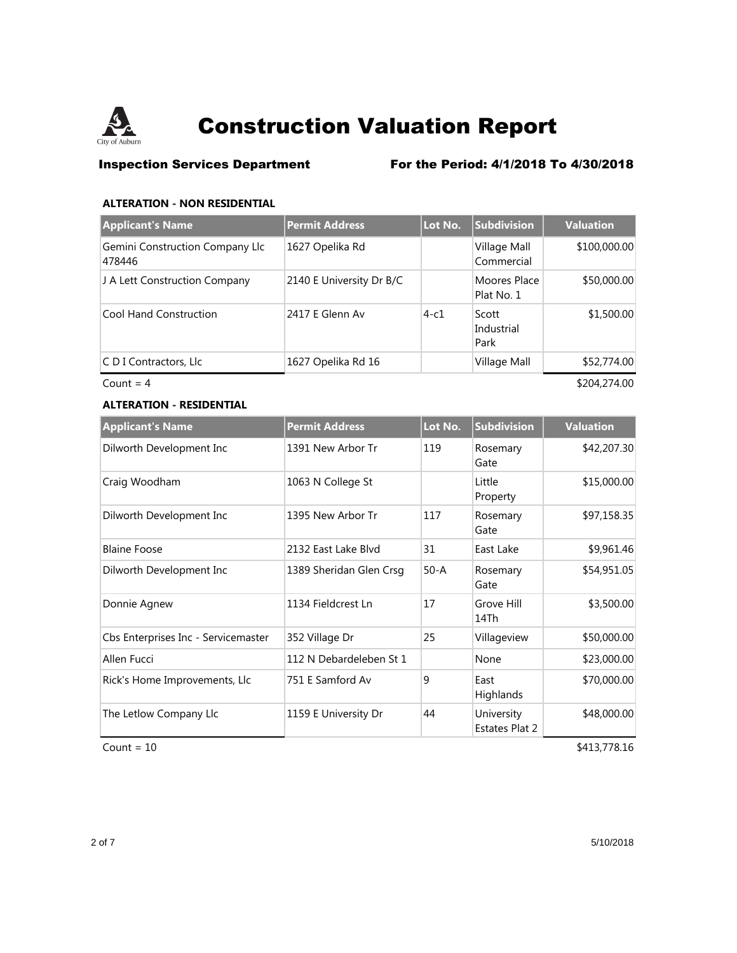

## **Inspection Services Department** For the Period: 4/1/2018 To 4/30/2018

### **ALTERATION - NON RESIDENTIAL**

| <b>Applicant's Name</b>                   | <b>Permit Address</b>    | Lot No. | <b>Subdivision</b>          | <b>Valuation</b> |
|-------------------------------------------|--------------------------|---------|-----------------------------|------------------|
| Gemini Construction Company Llc<br>478446 | 1627 Opelika Rd          |         | Village Mall<br>Commercial  | \$100,000.00     |
| J A Lett Construction Company             | 2140 E University Dr B/C |         | Moores Place<br>Plat No. 1  | \$50,000.00      |
| <b>Cool Hand Construction</b>             | 2417 E Glenn Av          | $4-c1$  | Scott<br>Industrial<br>Park | \$1,500.00       |
| C D I Contractors, Llc                    | 1627 Opelika Rd 16       |         | Village Mall                | \$52,774.00      |

 $Count = 4$  \$204,274.00

## **ALTERATION - RESIDENTIAL**

| <b>Applicant's Name</b>             | <b>Permit Address</b>   | Lot No.  | <b>Subdivision</b>           | <b>Valuation</b> |
|-------------------------------------|-------------------------|----------|------------------------------|------------------|
| Dilworth Development Inc            | 1391 New Arbor Tr       | 119      | Rosemary<br>Gate             | \$42,207.30      |
| Craig Woodham                       | 1063 N College St       |          | Little<br>Property           | \$15,000.00      |
| Dilworth Development Inc            | 1395 New Arbor Tr       | 117      | Rosemary<br>Gate             | \$97,158.35      |
| <b>Blaine Foose</b>                 | 2132 East Lake Blvd     | 31       | East Lake                    | \$9,961.46       |
| Dilworth Development Inc            | 1389 Sheridan Glen Crsq | $50 - A$ | Rosemary<br>Gate             | \$54,951.05      |
| Donnie Agnew                        | 1134 Fieldcrest Ln      | 17       | Grove Hill<br>14Th           | \$3,500.00       |
| Cbs Enterprises Inc - Servicemaster | 352 Village Dr          | 25       | Villageview                  | \$50,000.00      |
| Allen Fucci                         | 112 N Debardeleben St 1 |          | None                         | \$23,000.00      |
| Rick's Home Improvements, Llc       | 751 E Samford Av        | 9        | East<br>Highlands            | \$70,000.00      |
| The Letlow Company Llc              | 1159 E University Dr    | 44       | University<br>Estates Plat 2 | \$48,000.00      |

 $Count = 10$  \$413,778.16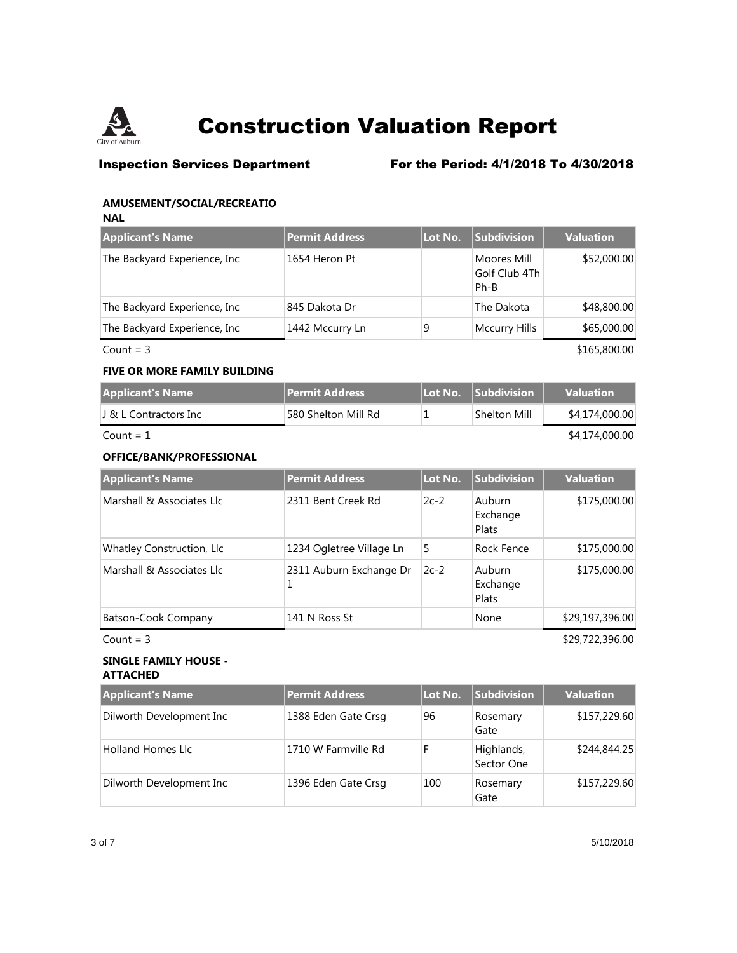

**Inspection Services Department** For the Period: 4/1/2018 To 4/30/2018

### **AMUSEMENT/SOCIAL/RECREATIO**

**NAL**

| <b>Applicant's Name</b>       | <b>Permit Address</b> | Lot No. | Subdivision                          | <b>Valuation</b> |
|-------------------------------|-----------------------|---------|--------------------------------------|------------------|
| The Backyard Experience, Inc. | 1654 Heron Pt         |         | Moores Mill<br>Golf Club 4Th<br>Ph-B | \$52,000.00      |
| The Backyard Experience, Inc. | 845 Dakota Dr         |         | The Dakota                           | \$48,800.00      |
| The Backyard Experience, Inc. | 1442 Mccurry Ln       | 9       | Mccurry Hills                        | \$65,000.00      |
| Count = $3$                   |                       |         |                                      | \$165,800.00     |

### **FIVE OR MORE FAMILY BUILDING**

| Applicant's Name   | <b>Permit Address</b> |  | $\sf H$ Lot No. $\sf I$ Subdivision $\sf I$ | <b>Valuation</b> |
|--------------------|-----------------------|--|---------------------------------------------|------------------|
| リ&LContractors Inc | 580 Shelton Mill Rd   |  | Shelton Mill                                | \$4,174,000.00   |
| Count = 1          |                       |  |                                             | \$4,174,000.00   |

### **OFFICE/BANK/PROFESSIONAL**

| <b>Applicant's Name</b>   | <b>Permit Address</b>        | Lot No. | <b>Subdivision</b>                 | <b>Valuation</b> |
|---------------------------|------------------------------|---------|------------------------------------|------------------|
| Marshall & Associates Llc | 2311 Bent Creek Rd           | $2c-2$  | Auburn<br>Exchange<br><b>Plats</b> | \$175,000.00     |
| Whatley Construction, Llc | 1234 Ogletree Village Ln     | 5       | Rock Fence                         | \$175,000.00     |
| Marshall & Associates Llc | 2311 Auburn Exchange Dr<br>1 | $2c-2$  | Auburn<br>Exchange<br>Plats        | \$175,000.00     |
| Batson-Cook Company       | 141 N Ross St                |         | None                               | \$29,197,396.00  |

 $Count = 3$  \$29,722,396.00

### **SINGLE FAMILY HOUSE - ATTACHED**

| <b>Applicant's Name</b>  | Permit Address      | Lot No. | <b>Subdivision</b>       | <b>Valuation</b> |
|--------------------------|---------------------|---------|--------------------------|------------------|
| Dilworth Development Inc | 1388 Eden Gate Crsg | 96      | Rosemary<br>Gate         | \$157,229.60     |
| <b>Holland Homes Llc</b> | 1710 W Farmville Rd | F       | Highlands,<br>Sector One | \$244,844.25     |
| Dilworth Development Inc | 1396 Eden Gate Crsg | 100     | Rosemary<br>Gate         | \$157,229.60     |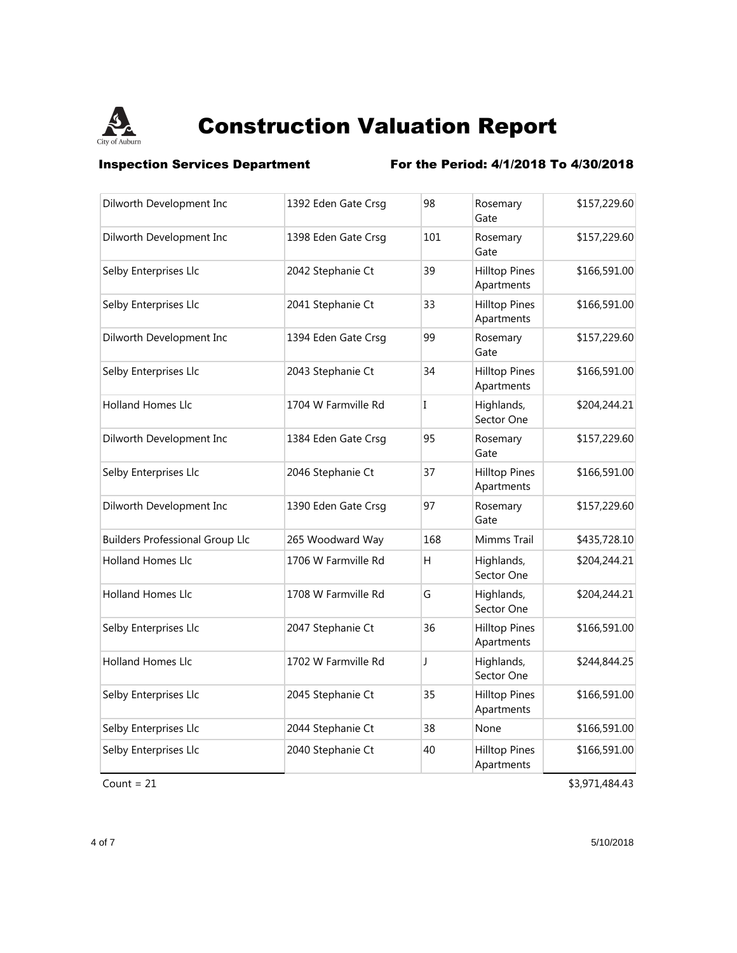

**Inspection Services Department** For the Period: 4/1/2018 To 4/30/2018

| Dilworth Development Inc               | 1392 Eden Gate Crsg | 98  | Rosemary<br>Gate                   | \$157,229.60 |
|----------------------------------------|---------------------|-----|------------------------------------|--------------|
| Dilworth Development Inc               | 1398 Eden Gate Crsg | 101 | Rosemary<br>Gate                   | \$157,229.60 |
| Selby Enterprises Llc                  | 2042 Stephanie Ct   | 39  | <b>Hilltop Pines</b><br>Apartments | \$166,591.00 |
| Selby Enterprises Llc                  | 2041 Stephanie Ct   | 33  | <b>Hilltop Pines</b><br>Apartments | \$166,591.00 |
| Dilworth Development Inc               | 1394 Eden Gate Crsg | 99  | Rosemary<br>Gate                   | \$157,229.60 |
| Selby Enterprises Llc                  | 2043 Stephanie Ct   | 34  | <b>Hilltop Pines</b><br>Apartments | \$166,591.00 |
| Holland Homes Llc                      | 1704 W Farmville Rd | I   | Highlands,<br>Sector One           | \$204,244.21 |
| Dilworth Development Inc               | 1384 Eden Gate Crsg | 95  | Rosemary<br>Gate                   | \$157,229.60 |
| Selby Enterprises Llc                  | 2046 Stephanie Ct   | 37  | <b>Hilltop Pines</b><br>Apartments | \$166,591.00 |
| Dilworth Development Inc               | 1390 Eden Gate Crsg | 97  | Rosemary<br>Gate                   | \$157,229.60 |
| <b>Builders Professional Group Llc</b> | 265 Woodward Way    | 168 | Mimms Trail                        | \$435,728.10 |
| Holland Homes Llc                      | 1706 W Farmville Rd | H   | Highlands,<br>Sector One           | \$204,244.21 |
| Holland Homes Llc                      | 1708 W Farmville Rd | G   | Highlands,<br>Sector One           | \$204,244.21 |
| Selby Enterprises Llc                  | 2047 Stephanie Ct   | 36  | <b>Hilltop Pines</b><br>Apartments | \$166,591.00 |
| <b>Holland Homes Llc</b>               | 1702 W Farmville Rd | J   | Highlands,<br>Sector One           | \$244,844.25 |
| Selby Enterprises Llc                  | 2045 Stephanie Ct   | 35  | <b>Hilltop Pines</b><br>Apartments | \$166,591.00 |
| Selby Enterprises Llc                  | 2044 Stephanie Ct   | 38  | None                               | \$166,591.00 |
| Selby Enterprises Llc                  | 2040 Stephanie Ct   | 40  | <b>Hilltop Pines</b><br>Apartments | \$166,591.00 |

 $Count = 21$  \$3,971,484.43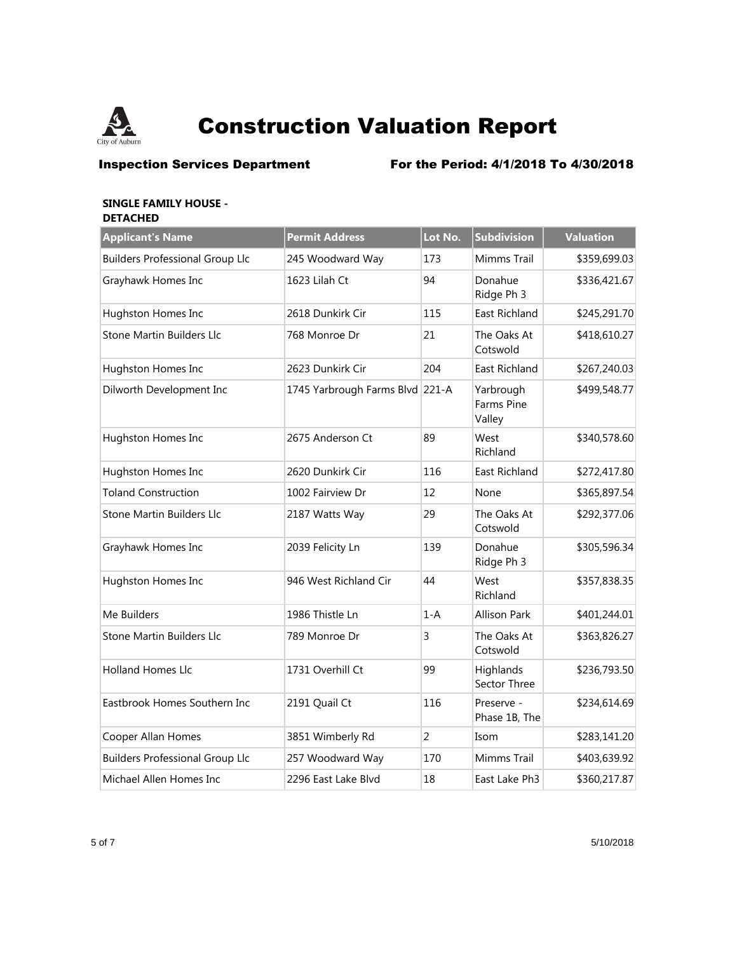

**Inspection Services Department** For the Period: 4/1/2018 To 4/30/2018

### **SINGLE FAMILY HOUSE - DETACHED**

| <b>Applicant's Name</b>                | <b>Permit Address</b>           | Lot No.        | Subdivision                       | <b>Valuation</b> |
|----------------------------------------|---------------------------------|----------------|-----------------------------------|------------------|
| <b>Builders Professional Group Llc</b> | 245 Woodward Way                | 173            | Mimms Trail                       | \$359,699.03     |
| Grayhawk Homes Inc                     | 1623 Lilah Ct                   | 94             | Donahue<br>Ridge Ph 3             | \$336,421.67     |
| Hughston Homes Inc                     | 2618 Dunkirk Cir                | 115            | East Richland                     | \$245,291.70     |
| Stone Martin Builders Llc              | 768 Monroe Dr                   | 21             | The Oaks At<br>Cotswold           | \$418,610.27     |
| Hughston Homes Inc                     | 2623 Dunkirk Cir                | 204            | East Richland                     | \$267,240.03     |
| Dilworth Development Inc               | 1745 Yarbrough Farms Blvd 221-A |                | Yarbrough<br>Farms Pine<br>Valley | \$499,548.77     |
| Hughston Homes Inc                     | 2675 Anderson Ct                | 89             | West<br>Richland                  | \$340,578.60     |
| Hughston Homes Inc                     | 2620 Dunkirk Cir                | 116            | <b>East Richland</b>              | \$272,417.80     |
| <b>Toland Construction</b>             | 1002 Fairview Dr                | 12             | None                              | \$365,897.54     |
| Stone Martin Builders Llc              | 2187 Watts Way                  | 29             | The Oaks At<br>Cotswold           | \$292,377.06     |
| Grayhawk Homes Inc                     | 2039 Felicity Ln                | 139            | Donahue<br>Ridge Ph 3             | \$305,596.34     |
| Hughston Homes Inc                     | 946 West Richland Cir           | 44             | West<br>Richland                  | \$357,838.35     |
| Me Builders                            | 1986 Thistle Ln                 | $1-A$          | <b>Allison Park</b>               | \$401,244.01     |
| Stone Martin Builders Llc              | 789 Monroe Dr                   | 3              | The Oaks At<br>Cotswold           | \$363,826.27     |
| <b>Holland Homes Llc</b>               | 1731 Overhill Ct                | 99             | Highlands<br>Sector Three         | \$236,793.50     |
| Eastbrook Homes Southern Inc           | 2191 Quail Ct                   | 116            | Preserve -<br>Phase 1B, The       | \$234,614.69     |
| Cooper Allan Homes                     | 3851 Wimberly Rd                | $\overline{2}$ | Isom                              | \$283,141.20     |
| <b>Builders Professional Group Llc</b> | 257 Woodward Way                | 170            | Mimms Trail                       | \$403,639.92     |
| Michael Allen Homes Inc                | 2296 East Lake Blvd             | 18             | East Lake Ph3                     | \$360,217.87     |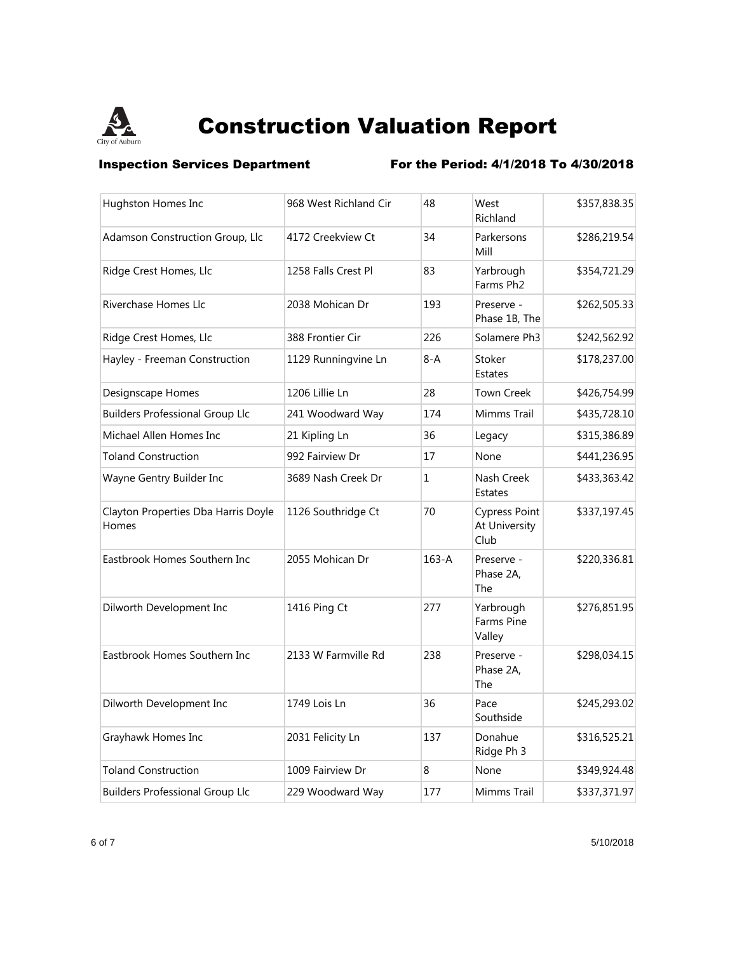

**Inspection Services Department** For the Period: 4/1/2018 To 4/30/2018

| Hughston Homes Inc                           | 968 West Richland Cir | 48           | West<br>Richland                              | \$357,838.35 |
|----------------------------------------------|-----------------------|--------------|-----------------------------------------------|--------------|
| Adamson Construction Group, Llc              | 4172 Creekview Ct     | 34           | Parkersons<br>Mill                            | \$286,219.54 |
| Ridge Crest Homes, Llc                       | 1258 Falls Crest Pl   | 83           | Yarbrough<br>Farms Ph <sub>2</sub>            | \$354,721.29 |
| <b>Riverchase Homes Llc</b>                  | 2038 Mohican Dr       | 193          | Preserve -<br>Phase 1B, The                   | \$262,505.33 |
| Ridge Crest Homes, Llc                       | 388 Frontier Cir      | 226          | Solamere Ph3                                  | \$242,562.92 |
| Hayley - Freeman Construction                | 1129 Runningvine Ln   | $8-A$        | Stoker<br><b>Estates</b>                      | \$178,237.00 |
| Designscape Homes                            | 1206 Lillie Ln        | 28           | <b>Town Creek</b>                             | \$426,754.99 |
| <b>Builders Professional Group Llc</b>       | 241 Woodward Way      | 174          | Mimms Trail                                   | \$435,728.10 |
| Michael Allen Homes Inc                      | 21 Kipling Ln         | 36           | Legacy                                        | \$315,386.89 |
| <b>Toland Construction</b>                   | 992 Fairview Dr       | 17           | None                                          | \$441,236.95 |
| Wayne Gentry Builder Inc                     | 3689 Nash Creek Dr    | $\mathbf{1}$ | Nash Creek<br>Estates                         | \$433,363.42 |
| Clayton Properties Dba Harris Doyle<br>Homes | 1126 Southridge Ct    | 70           | <b>Cypress Point</b><br>At University<br>Club | \$337,197.45 |
| Eastbrook Homes Southern Inc                 | 2055 Mohican Dr       | $163 - A$    | Preserve -<br>Phase 2A,<br>The                | \$220,336.81 |
| Dilworth Development Inc                     | 1416 Ping Ct          | 277          | Yarbrough<br>Farms Pine<br>Valley             | \$276,851.95 |
| Eastbrook Homes Southern Inc                 | 2133 W Farmville Rd   | 238          | Preserve -<br>Phase 2A.<br>The                | \$298,034.15 |
| Dilworth Development Inc                     | 1749 Lois Ln          | 36           | Pace<br>Southside                             | \$245,293.02 |
| Grayhawk Homes Inc                           | 2031 Felicity Ln      | 137          | Donahue<br>Ridge Ph 3                         | \$316,525.21 |
| <b>Toland Construction</b>                   | 1009 Fairview Dr      | 8            | None                                          | \$349,924.48 |
| <b>Builders Professional Group Llc</b>       | 229 Woodward Way      | 177          | Mimms Trail                                   | \$337,371.97 |